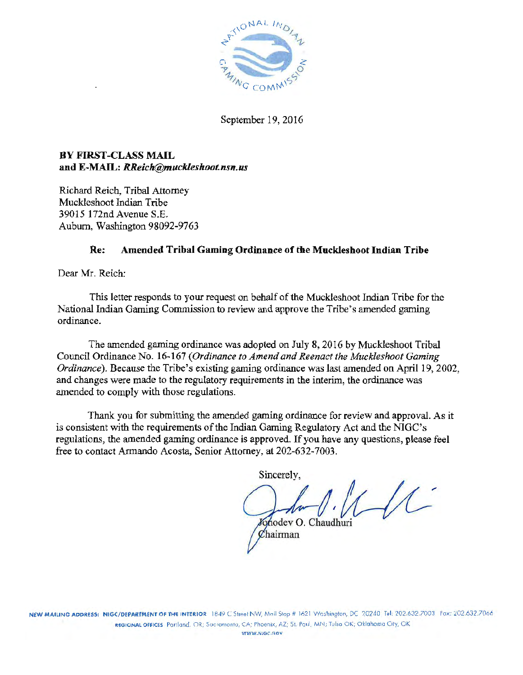

September 19, 2016

# BY FIRST-CLASS MAIL and E·MAIL: *RReich@muckleshoot.nsn.us*

Richard Reich, Tribal Attomey Muckleshoot Indian Tribe 39015 172nd Avenue S.E. Auburn, Washington 98092·9763

# Re: Amended Tribal Gaming Ordinance of the Mucklesboot Indian Tribe

Dear Mr. Reich:

This letter responds to your request on behalf of the Muckleshoot Indian Tribe for the National Indian Gaming Commission to review and approve the Tribe's amended gaming ordinance.

The amended gaming ordinance was adopted on July 8, 2016 by Muckleshoot Tribal Council Ordinance No. 16-167 *(Ordinance to Amend and Reenact the Muckleshoot Gaming Ordinance*). Because the Tribe's existing gaming ordinance was last amended on April 19, 2002, and changes were made to the regulatory requirements in the interim, the ordinance was amended to comply with those regulations.

Thank you for submitting the amended gaming ordinance for review and approval. As it is consistent with the requirements of the Indian Gaming Regulatory Act and the NIGC's regulations, the amended gaming ordinance is approved. If you have any questions, please feel free to contact Armando Acosta, Senior Attorney, at 202-632-7003.

Sincerely,

Johodey O. Chaudhuri Chairman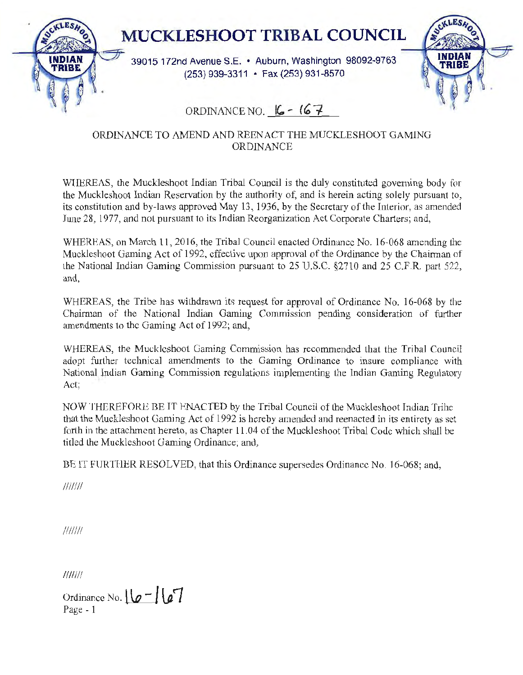

# ORDINANCE TO AMEND AND REENACT THE MUCKLESHOOT GAMING ORDINANCE

WIJEREAS, the Muckleshoot Indian Tribal Council is the duly constituted governing body for the Muckleshoot Indian Reservation by the authority of, and is herein acting solely pursuant to, its constitution and by-laws approved May 13, 1936, by the Secretary of the Interior, as amended June 28, 1977, and not pursuant to its Indian Reorganization Act Corporate Charters; and,

WHEREAS, on March 11, 2016, the Tribal Council enacted Ordinance No. 16-068 amending the Muckleshoot Gaming Act of 1992, effective upon approval of the Ordinance by the Chairman of the National Indian Gaming Commission pursuant to  $25 \text{ U.S.C.}$   $\S2710$  and  $25 \text{ C.F.R.}$  part 522, and,

WHEREAS, the Tribe has withdrawn its request for approval of Ordinance No. 16-068 by the Chairman of the National Indian Gaming Commission pending consideration of further amendments to the Gaming Act of 1992; and,

WHEREAS, the Mucklcshoot Gaming Commission has recommended that the Tribal Council adopt further tcclmical amendments to the Gaming Ordinance to insure compliance with National. Indian Gaming Commission regulations implementing the Indian Gaming Regulatory Act;

NOW THEREFORE BE IT ENACTED by the Tribal Council of the Muckleshoot Indian Trihe that the Muckleshoot Gaming Act of 1992 is hereby amended and reenacted in its entirety as set forth in the attachment hereto, as Chapter 11.04 of the Muckleshoot Tribal Code which shall be titled the Muckleshoot Gaming Ordinance; and,

BE lT FURTHER RESOLVED, that this Ordinance supersedes Ordinance No. 16-068; and,

*I/I/Ill* 

///////

///////

Ordinance No.  $\lfloor \frac{1}{2} \rfloor$   $\lfloor \frac{1}{2} \rfloor$ Page - 1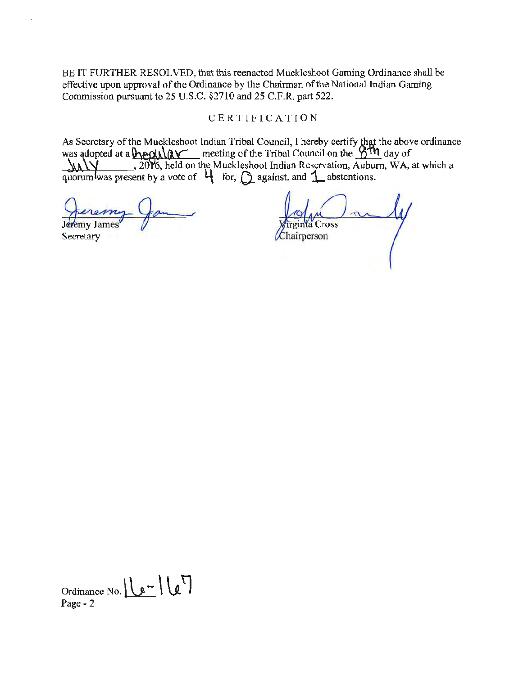BE IT FURTHER RESOLVED, that this reenacted Muckleshoot Gaming Ordinance shall be effective upon approval of the Ordinance by the Chairman of the National Indian Gaming Commission pursuant to 25 U.S.C. §2710 and 25 C.F.R. part 522.

### **CERTIFICATION**

As Secretary of the Muckleshoot Indian Tribal Council, I hereby certify that the above ordinance was adopted at a **\equidicated** meeting of the Tribal Council on the **:**next day of  $\frac{1}{2010}$ , 2016, held on the Muckleshoot Indian Reservation, Auburn, WA, at which a quorum was present by a vote of \_!j\_ for, .()\_ against, and **j\_** abstentions.

quorum was present by a vote or 4<br> *Jenemy James*<br>
Secretary

a Cross Chairperson

Ordinance No.  $\sqrt{2}$   $\sqrt{12}$ Page - 2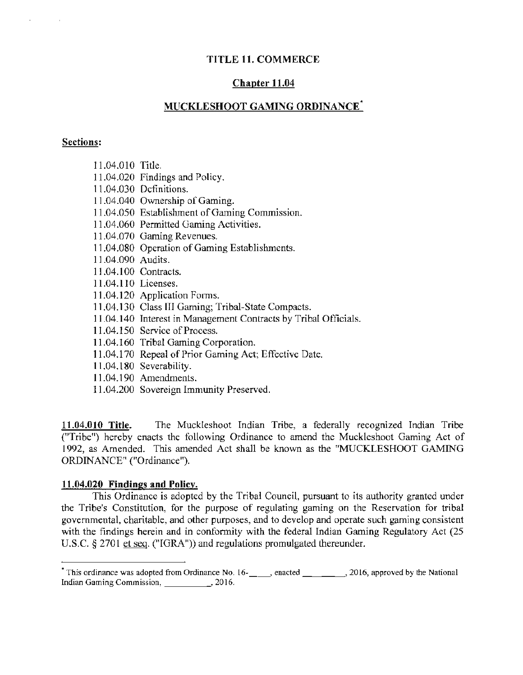## TITLE 11. COMMERCE

### Chapter 11.04

## MUCKLESHOOT GAMING ORDINANCE\*

#### Sections:

- 11.04.010 Title.
- 11.04.020 findings and Policy.
- 11.04.030 Definitions.
- 11.04.040 Ownership of Gaming.
- 11.04.050 Establishment of Gaming Commission.
- 11.04.060 Permitted Gaming Activities.
- 11.04.070 Gaming Revenues.
- 11.04.080 Operation of Gaming Establishments.
- 11.04.090 Audits.
- 11.04.100 Contracts.
- 11.04.110 Licenses.
- 11.04.120 Application Fonns.
- 11.04.130 Class III Gaming; Tribal-State Compacts.
- 11.04.140 Interest in Management Contracts by Tribal Officials.
- 11.04.150 Service of Process.
- 11.04.160 Tribal Gaming Corporation.
- 11.04.170 Repeal of Prior Gaming Act; Effective Date.
- 11.04.180 Severability.
- 11.04.190 Amendments.
- 11.04.200 Sovereign Immunity Preserved.

11.04.010 Title. The Muckleshoot Indian Tribe, a federally recognized Indian Tribe ("Tribe") hereby enacts the following Ordinance to amend the Muckleshoot Gaming Act of 1992, as Amended. This amended Act shall be known as the "MUCKLESHOOT GAMING ORDINANCE" ("Ordinance").

#### 11.04.020 Findings and Policy.

This Ordinance is adopted by the Tribal Council, pursuant to its authority granted under the Tribe's Constitution, for the purpose of regulating gaming on the Reservation for tribal governmental, charitable, and other purposes, and to develop and operate such gaming consistent with the findings herein and in conformity with the federal Indian Gaming Regulatory Act (25) U.S.C. § 2701 et seq. ("IGRA")) and regulations promulgated thereunder.

<sup>&</sup>lt;sup>\*</sup> This ordinance was adopted from Ordinance No. 16- $\_\_\_\_\_$ , enacted  $\_\_\_\_\_$ , 2016, approved by the National Indian Gaming Commission, 2016.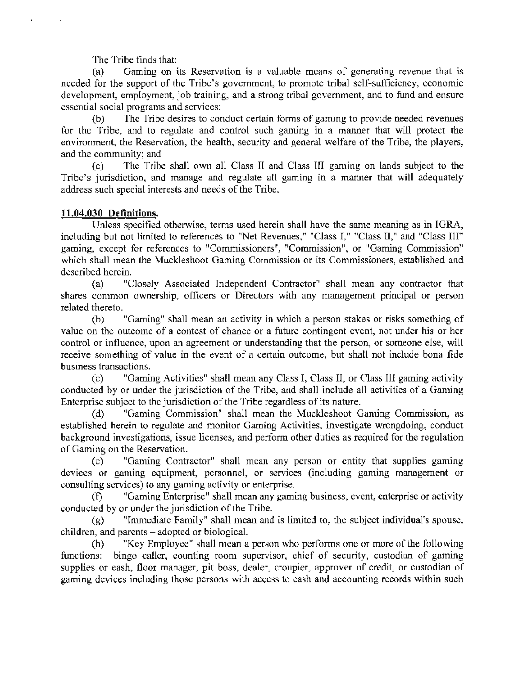The Tribe finds that:

(a) Gaming on its Reservation is a valuable means of generating revenue that is needed for the support of the Tribe's government, to promote tribal self-sufliciency, economic development, employment, job training, and a strong tribal government, and to fund and ensure essential social programs and services;

(b) The Tribe desires to conduct certain forms of gaming to provide needed revenues for the Tribe, and to regulate and control such gaming in a manner that will protect the environment, the Reservation, the health, security and general welfare of the Tribe, the players, and the community; and

(c) The Tribe shall own all Class II and Class HI gaming on lands subject to the Tribe's jurisdiction, and manage and regulate all gaming in a manner that will adequately address such special interests and needs of the Tribe.

## 11.04.030 Definitions.

Unless specified otherwise, terms used herein shall have the same meaning as in IGRA, including but not limited to references to "Net Revenues," "Class I," "Class II," and "Class III" gaming, except for references to "Commissioners", "Commission", or "Gaming Commission" which shall mean the Muckleshoot Gaming Commission or its Commissioners, established and described herein.

(a) ''Closely Associated Independent Contractor" shall mean any contractor that shares common ownership, officers or Directors with any management principal or person related thereto.

(b) "Gaming" shall mean an activity in which a person stakes or risks something of value on the outcome of a contest of chance or a future contingent event, not under his or her control or influence, upon an agreement or understanding that the person, or someone else, will receive something of value in the event of a certain outcome, but shall not include bona fide business transactions.

(c) "Gaming Activities" shall mean any Class I, Class II, or Class Ill gaming activity conducted by or under the jurisdiction of the Tribe, and shall include all activities of a Gaming Enterprise subject to the jurisdiction of the Tribe regardless of its nature.

(d) "Gaming Commission" shall mean the Muckleshoot Gaming Commission, as established herein to regulate and monitor Gaming Activities, investigate wrongdoing, conduct background investigations, issue licenses, and perform other duties as required for the regulation of Gaming on the Reservation.

(e) "Gaming Contractor" shall mean any person or entity that supplies gaming devices or gaming equipment. personnel. or services (including gaming management or consulting services) to any gaming activity or enterprise.

(f) "Gaming Enterprise" shall mean any gaming business, event, enterprise or activity conducted by or under the jurisdiction of the Tribe.

(g) "Immediate Family" shall mean and is limited to, the subject individual's spouse, children, and parents – adopted or biological.

(h) "Key Employee" shall mean a person who performs one or more of the following functions: bingo caller. counting room supervisor, chief of security, custodian of gaming supplies or cash, floor manager, pit boss. dealer, croupier, approver of credit, or custodian of gaming devices including those persons with access to cash and accounting records within such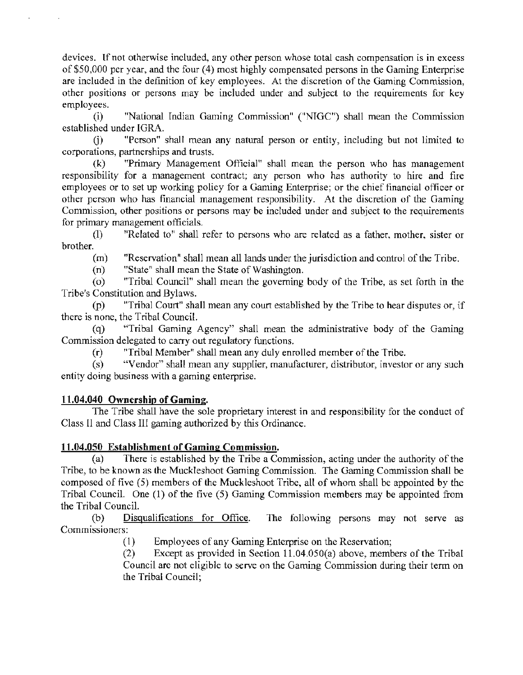devices. If not otherwise included, any other person whose total cash compensation is in excess of \$50,000 per year, and the four (4) most highly compensated persons in the Gaming Enterprise are included in the definition of key employees. At the discretion of the Gaming Commission, other positions or persons may be included under and subject to the requirements for key employees.

(i) "National Indian Gaming Commission" ("NTGC") shall mean the Commission established under IGRA.

G) "Person" shall mean any natural person or entity, including but not limited to corporations, partnerships and trusts.

(k) "Primary Management Official" shall mean the person who has management responsibility for a management contract; any person who has authority to hire and fire employees or to set up working policy for a Gaming Enterprise; or the chief financial officer or other person who has financial management responsibility. At the discretion of the Gaming Commission, other positions or persons may be included under and subject to the requirements for primary management officials.

(1) "Related to" shall refer to persons who are related as a father, mother, sister or brother.

(m) "Reservation" shall mean all lands under the jurisdiction and control of the Tribe.

(n) "State" shall mean the State of Washington.

(o) "Tribal Council" shall mean the governing body of the Tribe, as set forth in the Tribe's Constitution and Bylaws.

(p) "Tribal Court" shall mean any court established by the Tribe to hear disputes or, if there is none, the Tribal Council.

(q) "Tribal Gaming Agency" shall mean the administrative body of the Gaming Commission delegated to carry out regulatory functions.

(r) "Tribal Member" shall mean any duly enrolled member of the Tribe.

(s) '"Vendor" shall mean any supplier, manufacturer, distributor, investor or any such entity doing business with a gaming enterprise.

### 11.04.040 Ownership of Gaming.

The Tribe shall have the sole proprietary interest in and responsibility for the conduct of Class II and Class III gaming authorized by this Ordinance.

### 11.04.050 Establishment of Gaming Commission.

(a) There is established by the Tribe a Commission, acting under the authority of the Tribe, to be known as the Muckleshoot Gaming Commission. The Gaming Commission shall be composed of five (5) members of the Muckleshoot Tribe, all of whom shall be appointed by the Tribal Council. One (1) of the five (5) Gaming Commission members may be appointed from the Tribal Council.

(b) Disqualifications for Office. The following persons may not serve as Commissioners:

( 1) Employees of any Gaming Enterprise on the Reservation;

(2) Except as provided in Section 11.04.0SO(a) above, members of the Tribal Council are not eligible to serve on the Gaming Commission during their term on the Tribal Council;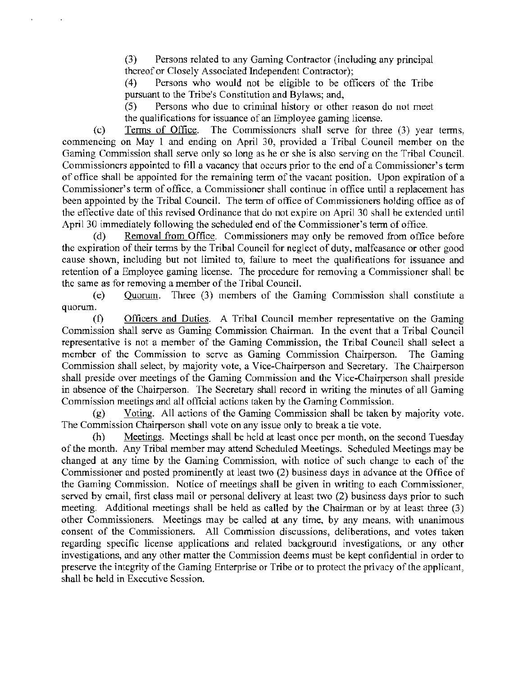(3) Persons related to any Gaming Contractor (including any principal thereof or Closely Associated Independent Contractor);

(4) Persons who would not be eligible to be officers of the Tribe pursuant to the Tribe's Constitution and Bylaws; and,

(5) Persons who due to criminal history or other reason do not meet the qualifications for issuance of an Employee gaming license.

(c) Terms of Office. The Commissioners shall serve for three (3) year terms, commencing on May 1 and ending on April 30, provided a Tribal Council member on the Gaming Commission shall serve only so long as he or she is also serving on the Tribal Council. Commissioners appointed to fill a vacancy that occurs prior to the end of a Commissioner's tenn of office shall be appointed for the remaining term of the vacant position. Upon expiration of a Commissioner's term of office, a Commissioner shall continue in office until a replacement has been appointed by the Tribal Council. The term of office of Commissioners holding office as of the effective date of this revised Ordinance that do not expire on April 30 shall he extended until April 30 immediately following the scheduled end of the Commissioner's term of office.

(d) Removal from Office. Commissioners may only be removed from office before the expiration of their terms by the Tribal Council for neglect of duty, malfeasance or other good cause shown, including but not limited to, failure to meet the qualifications for issuance and retention of a Employee gaming license. The procedure for removing a Commissioner shall be the same as for removing a member of the Tribal Council.

(e) Quorum. Three (3) members of the Gaming Commission shall constitute a quorum.

(f) Officers and Duties. A Tribal Council member representative on the Gaming Commission shall serve as Gaming Commission Chairman. In the event that a Tribal Council representative is not a member of the Gaming Commission, the Tribal Council shall select a member of the Commission to serve as Gaming Commission Chairperson. The Gaming Commission shall select, by majority vote, a Vice-Chairperson and Secretary. The Chairperson shall preside over meetings of the Gaming Commission and the Vice-Chairperson shall preside in absence of the Chairperson. The Secretary shall record in writing the minutes of all Gaming Commission meetings and all official actions taken by the Gaming Commission.

(g) Voting. All actions of the Gaming Commission shall be taken by majority vote. The Commission Chairperson shall vote on any issue only to break a tie vote.

(h) Meetings. Meetings shall be held at least once per month, on the second Tuesday of the month. Any Tribal member may attend Scheduled Meetings. Scheduled Meetings may be changed at any time by the Gaming Commission, with notice of such change to each of the Commissioner and posted prominently at least two (2) business days in advance at the Office of the Gaming Commission. Notice of meetings shall be given in writing to each Commissioner, served by email, first class mail or personal delivery at least two (2) business days prior to such meeting. Additional meetings shall be held as called by the Chairman or by at least three (3) other Commissioners. Meetings may be called at any time, by any means, with unanimous consent of the Commissioners. All Commission discussions, deliberations, and votes taken regarding specific license applications and related background investigations, or any other investigations, and any other matter the Commission deems must be kept confidential in order to preserve the integrity of the Gaming Enterprise or Tribe or to protect the privacy of the applicant, shall be held in Executive Session.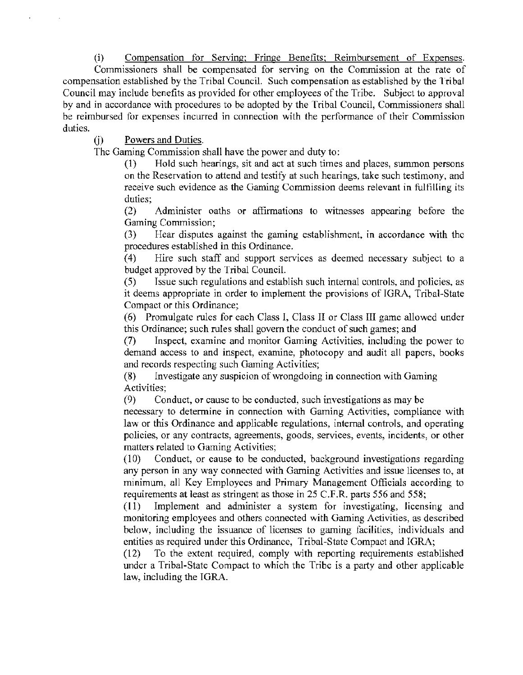(i) Compensation for Serving: Fringe Benefits: Reimbursement of Expenses. Commissioners shall be compensated for serving on the Commission at the rate of compensation established by the Tribal Council. Such compensation as established by the Tribal Council may include benefits as provided for other employees of the Tribe. Subject to approval by and in accordance with procedmes to be adopted by the Tribal Council, Commissioners shall

be reimbursed for expenses incurred in connection with the performance of their Commission duties.

(j) Powers and Duties.

The Gaming Commission shall have the power and duty to:

(1) Hold such hearings, sit and act at such times and places, summon persons on the Reservation to attend and testify at such hearings, take such testimony, and receive such evidence as the Gaming Commission deems relevant in fulfilling its duties;

(2) Administer oaths or affirmations to witnesses appearing before the Gaming Commission;

(3) Hear disputes against the gaming establishment, in accordance with the procedures established in this Ordinance.

( 4) Hire such staff and support services as deemed necessary subject to a budget approved by the Tribal Council.

(5) Issue such regulations and establish such internal controls, and policies, as it deems appropriate in order to implement the provisions of IGRA, Tribal-State Compact or this Ordinance;

( 6) Promulgate rules for each Class I, Class II or Class III game allowed under this Ordinance; such rules shall govern the conduct of such games; and

(7) Inspect, examine and monitor Gaming Activities, including the power to demand access to and inspect, examine, photocopy and audit all papers, books and records respecting such Gaming Activities;

(8) Investigate any suspicion of wrongdoing in connection with Gaming Activities;

(9) Conduct, or cause to be conducted, such investigations as may be

necessary to determine in connection with Gaming Activities, compliance with law or this Ordinance and applicable regulations, internal controls, and operating policies, or any contracts, agreements, goods, services, events, incidents, or other matters related to Gaming Activities;

(10) Conduct, or cause to be conducted, background investigations regarding any person in any way connected with Gaming Activities and issue licenses to, at minimum, all Key Employees and Primary Management Officials according to requirements at least as stringent as those in 25 C.F.R. parts 556 and 558;

(11) Implement and administer a system for investigating, licensing and monitoring employees and others connected with Gaming Activities, as described below, including the issuance of licenses to gaming facilities, individuals and entities as required under this Ordinance, Tribal-State Compact and IGRA;

(12) To the extent required, comply with reporting requirements established under a Tribal-State Compact to which the Tribe is a party and other applicable law, including the IGRA.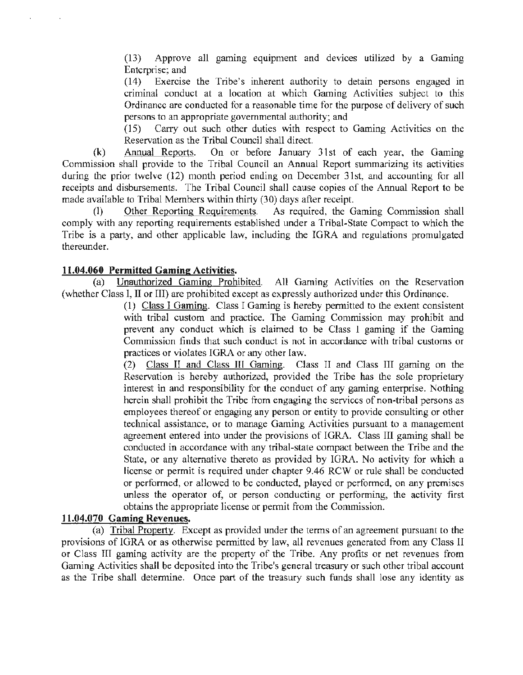$(13)$  Approve all gaming equipment and devices utilized by a Gaming Enterprise; and

(14) Exercise the Tribe's inherent authority to detain persons engaged in criminal conduct at a location at which Gaming Activities subject to this Ordinance are conducted for a reasonable time for the purpose of delivery of such persons to an appropriate governmental authority; and

(15) Carry out such other duties with respect to Gaming Activities on the Reservation as the Tribal Council shall direct.

(k) Annual Reports. On or before January 31st of each year, the Gaming Commission shall provide to the Tribal Council an Annual Report summarizing its activities during the prior twelve (12) month period ending on December 31st, and accounting for all receipts and disbursements. The Tribal Council shall cause copies of the Annual Report to be made available to Tribal Members within thirty (30) days after receipt.

(I) Other Reporting Requirements. As required, the Gaming Commission shall comply with any reporting requirements established under a Tribal·State Compact to which the Tribe is a party, and other applicable law, including the IGRA and regulations promulgated thereunder.

### 11.04.060 Permitted Gaming Activities.

(a) Unauthorized Gaming Prohibited. All Gaming Activities on the Reservation (whether Class I, II or III) are prohibited except as expressly authorized under this Ordinance.

> ( 1) Class I Gaming. Class I Gaming is hereby permitted to the extent consistent with tribal custom and practice. The Gaming Commission may prohibit and prevent any conduct which is claimed to be Class I gaming if the Gaming Commission finds that such conduct is not in accordance with tribal customs or practices or violates IGRA or any other law.

> (2) Class IT and Class ID Gaming. Class II and Class III gaming on the Reservation is hereby authorized, provided the Tribe has the sole proprietary interest in and responsibility for the conduct of any gaming enterprise. Nothing herein shall prohibit the Tribe from engaging the services of non·tribal persons as employees thereof or engaging any person or entity to provide consulting or other technical assistance, or to manage Gaming Activities pursuant to a management agreement entered into under the provisions of IGRA. Class III gaming shall be conducted in accordance with any tribal-state compact between the Tribe and the State, or any alternative thereto as provided by IGRA. No activity for which a license or permit is required under chapter 9.46 RCW or rule shall be conducted or performed, or allowed to be conducted, played or performed, on any premises unless the operator of, or person conducting or performing, the activity first obtains the appropriate license or permit from the Commission.

## 11.04.070 Gaming Revenues.

(a) Tribal Property. Except as provided under the terms of an agreement pursuant to the provisions of IGRA or as otherwise permitted by law, all revenues generated from any Class II or Class III gaming activity are the property of the Tribe. Any profits or net revenues from Gaming Activities shall be deposited into the Tribe's general treasury or such other tribal account as the Tribe shall determine. Once part of the treasury such funds shall lose any identity as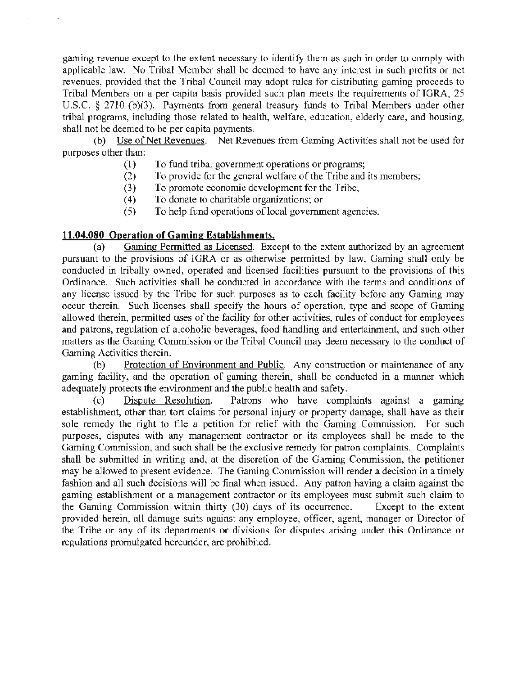gaming revenue except to the extent necessary to identify them as such in order to comply with applicable law. No Tribal Member shall be deemed to have any interest in such profits or net revenues, provided that the Tribal Council may adopt rules for distributing gaming proceeds to Tribal Members on a per capita basis provided such plan meets the requirements of IGRA, 25 U.S.C. § 2710 (b)(3). Payments from general treasury funds to Tribal Members under other tribal programs, including those related to health, welfare, education, elderly care, and housing, shall not be deemed to be per capita payments.

(b) Use of Net Revenues. Net Revenues from Gaming Activities shall not be used for purposes other than:

- (1) To fund tribal government operations or programs;
- (2) To provide for the general welfare of the Tribe and its members;
- (3) To promote economic development for the Tribe;
- (4) To donate to charitable organizations; or
- (5) To help fund operations of local government agencies.

## **11.04.080 Operation of Gaming Establishments.**

(a) Gaming Permitted as Licensed. Except to the extent authorized by an agreement pursuant to the provisions of IGRA or as otherwise permitted by law, Gaming shall only be conducted in tribally owned, operated and licensed facilities pursuant to the provisions of this Ordinance. Such activities shall be conducted in accordance with the terms and conditions of any license issued by the Tribe for such purposes as to each facility before any Gaming may occur therein. Such licenses shall specify the hours of operation, type and scope of Gaming allowed therein, permitted uses of the facility for other activities, rules of conduct for employees and patrons, regulation of alcoholic beverages, food handling and entertainment, and such other matters as the Gaming Commission or the Tribal Council may deem necessary to the conduct of Gaming Activities therein.

(b) Protection of Environment and Public. Any construction or maintenance of any gaming facility, and the operation of gaming therein, shall be conducted in a manner which adequately protects the environment and the public health and safety.

( c) Dispute Resolution. Patrons who have complaints against a gaming establishment, other than tort claims for personal injury or property damage, shall have as their sole remedy the right to file a petition for relief with the Gaming Commission. For such purposes, disputes with any management contractor or its employees shall be made to the Gaming Commission, and such shall be the exclusive remedy for patron complaints. Complaints shall be submitted in writing and, at the discretion of the Gaming Commission, the petitioner may be allowed to present evidence. The Gaming Commission will render a decision in a timely fashion and all such decisions will be final when issued. Any patron having a claim against the gaming establishment or a management contractor or its employees must submit such claim to the Gaming Commission within thirty (30) days of its occurrence. Except to the extent provided herein, all damage suits against any employee, officer, agent, manager or Director of the Tribe or any of its departments or divisions for disputes arising under this Ordinance or regulations promulgated hereunder, are prohibited.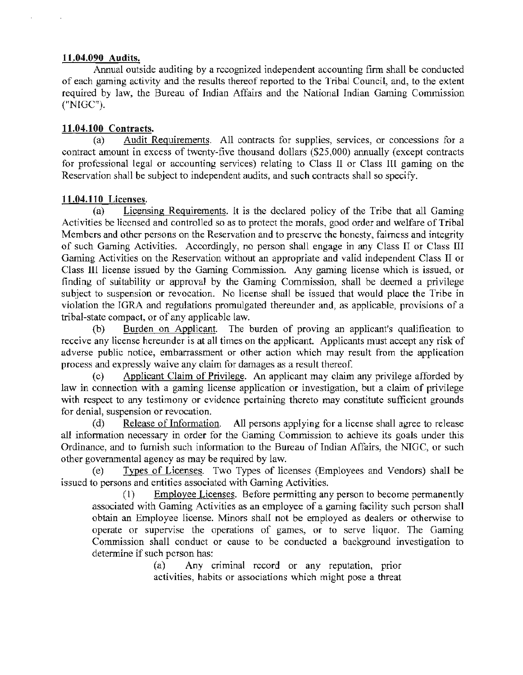### 11.04.090 Audits.

Annual outside auditing by a recognized independent accounting firm shall be conducted of each gaming activity and the results thereof reported to the Tribal Council, and, to the extent required by law, the Bureau of Indian Affairs and the National Indian Gaming Commission ("NIGC").

### 11.04.100 Contracts.

(a) Audit Requirements. All contracts for supplies, services, or concessions for a contract amount in excess of twenty-five thousand dollars (\$25,000) annually (except contracts for professional legal or accounting services) relating to Class II or Class Ill gaming on the Reservation shall be subject to independent audits, and such contracts shall so specify.

### 11.04.110 Licenses.

(a) Licensing Requirements. It is the declared policy of the Tribe that all Gaming Activities be licensed and controlled so as to protect the morals, good order and welfare of Tribal Members and other persons on the Reservation and to preserve the honesty, fairness and integrity of such Gaming Activities. Accordingly, no person shall engage in any Class II or Class III Gaming Activities on the Reservation without an appropriate and valid independent Class II or Class Ill license issued by the Gaming Commission. Any gaming license which is issued, or finding of suitability or approval by the Gaming Commission, shall be deemed a privilege subject to suspension or revocation. No license shall be issued that would place the Tribe in violation the IGRA and regulations promulgated thereunder and, as applicable, provisions of a tribal-state compact, or of any applicable law.

(b) Burden on Applicant. The burden of proving an applicant's qualification to receive any license hereunder is at all times on the applicant. Applicants must accept any risk of adverse public notice, embarrassment or other action which may result from the application process and expressly waive any claim for damages as a result thereof.

Applicant Claim of Privilege. An applicant may claim any privilege afforded by law in connection with a gaming license application or investigation, but a claim of privilege with respect to any testimony or evidence pertaining thereto may constitute sufficient grounds for denial, suspension or revocation.

(d) Release of Information. All persons applying for a license shall agree to release all information necessary in order for the Gaming Commission to achieve its goals under this Ordinance, and to furnish such information to the Bureau of Indian Affairs, the NIGC, or such other governmental agency as may be required by law.

(e) Types of Licenses. Two Types of licenses (Employees and Vendors) shall be issued to persons and entities associated with Gaming Activities.

(I) Employee Licenses. Before permitting any person to become permanently associated with Gaming Activities as an employee of a gaming facility such person shall obtain an Employee license. Minors shall not be employed as dealers or otherwise to operate or supervise the operations of games, or to serve liquor. The Gaming Commission shall conduct or cause to be conducted a background investigation to determine if such person has:

> (a) Any criminal record or any reputation, prior activities, habits or associations which might pose a threat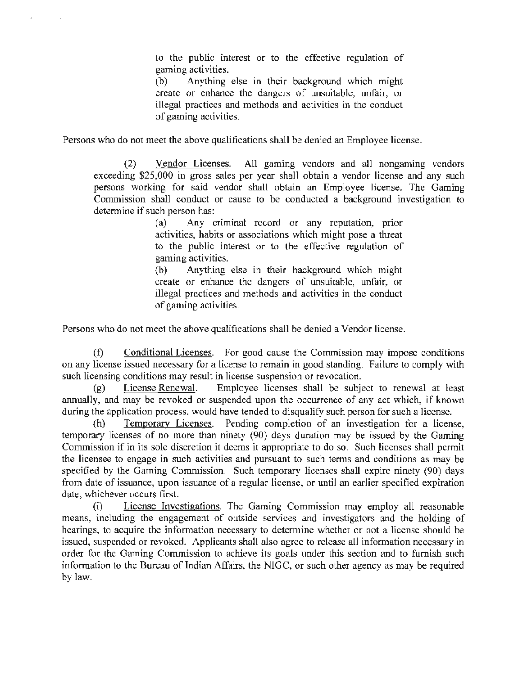to the public interest or to the effective regulation of gaming activities.

(b) Anything else in their background which might create or enhance the dangers of unsuitable, unfair, or illegal practices and methods and activities in the conduct of gaming activities.

Persons who do not meet the above qualifications shall be denied an Employee license.

(2) Vendor Licenses. All gaming vendors and all nongaming vendors exceeding \$25,000 in gross sales per year shall obtain a vendor license and any such persons working for said vendor shall obtain an Employee license. The Gaming Commission shall conduct or cause to be conducted a background investigation to determine if such person has:

> (a) Any criminal record or any reputation, prior activities, habits or associations which might pose a threat to the public interest or to the effective regulation of gaming activities.

> (b) Anything else in their background which might create or enhance the dangers of unsuitable, unfair, or illegal practices and methods and activities in the conduct of gaming activities.

Persons who do not meet the above qualifications shall be denied a Vendor license.

(f) Conditional Licenses. For good cause the Commission may impose conditions on any license issued necessary for a license to remain in good standing. Failure to comply with such licensing conditions may result in license suspension or revocation.

(g) License Renewal. Employee licenses shall be subject to renewal at least annually, and may be revoked or suspended upon the occurrence of any act which, if known during the application process, would have tended to disqualify such person for such a license.

(h) Temporary Licenses. Pending completion of an investigation for a license, temporary licenses of no more than ninety (90) days duration may be issued by the Gaming Commission if in its sole discretion it deems it appropriate to do so. Such licenses shall permit the licensee to engage in such activities and pursuant to such terms and conditions as may be specified by the Gaming Commission. Such temporary licenses shall expire ninety (90) days from date of issuance, upon issuance of a regular license, or until an earlier specified expiration date, whichever occurs first.

(i) License Investigations. The Gaming Commission may employ all reasonable means, including the engagement of outside services and investigators and the holding of hearings, to acquire the information necessary to determine whether or not a license should be issued, suspended or revoked. Applicants shall also agree to release all information necessary in order for the Gaming Commission to achieve its goals under this section and to furnish such information to the Bureau of Indian Affairs, the NIGC, or such other agency as may be required by law.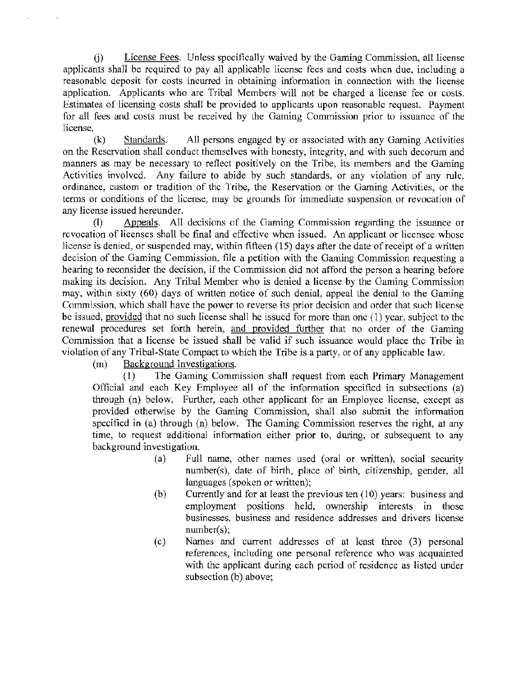(j) License Fees. Unless specifically waived by the Gaming Commission, all license applicants shall be required to pay all applicable license fees and costs when due, including a reasonable deposit for costs incurred in obtaining information in connection with the license application. Applicants who are Tribal Members will not be charged a license fee or costs. Estimates of licensing costs shall be provided to applicants upon reasonable request. Payment for all fees and costs must be received by the Gaming Commission prior to issuance of the license.

(k) Standards. All persons engaged by or associated with any Gaming Activities on the Reservation shall conduct themselves with honesty, integrity, and with such decorum and manners as may be necessary to reflect positively on the Tribe, its members and the Gaming Activities involved. Any failure to abide by such standards, or any violation of any rule, ordinance, custom or tradition of the Tribe, the Reservation or the Gaming Activities, or the tenns or conditions of the license, may be grounds for immediate suspension or revocation of any license issued hereunder.

(I) Appeals. All decisions of the Gaming Commission regarding the issuance or revocation of licenses shall be final and effective when issued. An applicant or licensee whose license is denied, or suspended may, within fifteen (15) days after the date of receipt of a written decision of the Gaming Commission, file a petition with the Gaming Commission requesting a hearing to reconsider the decision, if the Commission did not afford the person a hearing before making its decision. Any Tribal Member who is denied a license by the Gaming Commission may, within sixty (60) days of written notice of such denial, appeal the denial to the Gaming Commission, which shall have the power to reverse its prior decision and order that such license be issued, provided that no such license shall be issued for more than one (1) year, subject to the renewal procedures set forth herein, and provided further that no order of the Gaming Commission that a license be issued shall be valid if such issuance would place the Tribe in violation of any Tribal-State Compact to which the Tribe is a party, or of any applicable law.

(m) Background Investigations.

(I) The Gaming Commission shall request from each Primary Management Official and each Key Employee all of the information specified in subsections (a) through (n) below. Further, each other applicant for an Employee license, except as provided otherwise by the Gaming Commission, shall also submit the information specified in (a) through (n) below. The Gaming Commission reserves the right, at any time, to request additional information either prior to, during, or subsequent to any background investigation.

- (a) Full name, other names used (oral or written), social secmity number(s), date of birth, place of birth, citizenship, gender, all languages (spoken or written);
- (b) Currently and for at least the previous ten  $(10)$  years: business and employment positions held, ownership interests in those businesses, business and residence addresses and drivers license number(s);
- ( c) Names and current addresses of at least three (3) personal references, including one personal reference who was acquainted with the applicant during each period of residence as listed under subsection (b) above;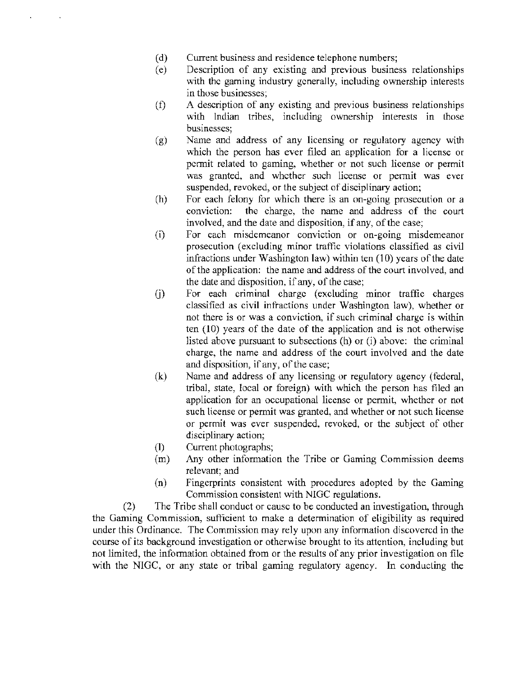- (d) Current business and residence telephone numbers;
- (e) Description of any existing and previous business relationships with the gaming industry generally, including ownership interests in those businesses;
- (f) A description of any existing and previous business relationships with Indian tribes, including ownership interests in those businesses;
- (g) Name and address of any licensing or regulatory agency with which the person has ever filed an application for a license or permit related to gaming, whether or not such license or permit was granted, and whether such license or permit was ever suspended, revoked, or the subject of disciplinary action;
- (h) For each felony for which there is an on-going prosecution or a conviction: the charge, the name and address of the court involved, and the date and disposition, if any, of the case;
- (i) For each misdemeanor conviction or on-going misdemeanor prosecution (excluding minor traffic violations classified as civil infractions under Washington law) within ten (10) years of the date of the application: the name and address of the court involved, and the date and disposition, if any, of the case;
- G) For each criminal charge (excluding minor traffic charges classified as civil infractions under Washington law), whether or not there is or was a conviction, if such criminal charge is within ten (10) years of the date of the application and is not otherwise listed above pursuant to subsections (h) or (i) above: the criminal charge, the name and address of the court involved and the date and disposition, if any, of the case;
- (k) Name and address of any licensing or regulatory agency (federal, tribal, state, local or foreign) with which the person has filed an application for an occupational license or permit, whether or not such license or permit was granted, and whether or not such license or permit was ever suspended, revoked, or the subject of other disciplinary action;
- (I) Current photographs;
- (m) Any other information the Tribe or Gaming Commission deems relevant; and
- (n) Fingerprints consistent with procedures adopted by the Gaming Commission consistent with NIGC regulations.

(2) The Tribe shall conduct or cause to be conducted an investigation, through the Gaming Commission, sufficient to make a determination of eligibility as required under this Ordinance. The Commission may rely upon any information discovered in the course of its background investigation or otherwise brought to its attention, including but not limited, the information obtained from or the results of any prior investigation on file with the NIGC, or any state or tribal gaming regulatory agency. In conducting the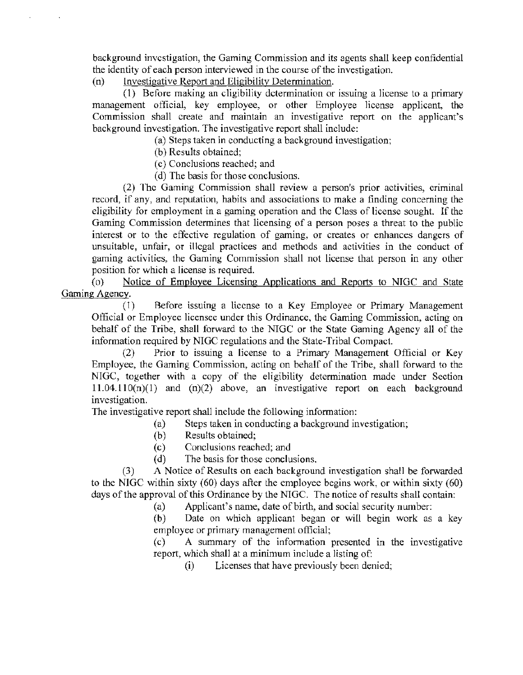background investigation, the Gaming Commission and its agents shall keep confidential the identity of each person interviewed in the course of the investigation.

 $(n)$  Investigative Report and Eligibility Determination.

(1) Before making an eligibility determination or issuing a license to a primary management official, key employee, or other Employee license applicant, the Commission shall create and maintain an investigative report on the applicant's background investigation. The investigative report shall include:

(a) Steps taken in conducting a background investigation;

(b) Results obtained;

( c) Conclusions reached; and

( d) The basis for those conclusions.

(2) The Gaming Commission shall review a person's prior activities, criminal record, if any, and reputation, habits and associations to make a finding concerning the eligibility for employment in a gaming operation and the Class of license sought. If the Gaming Commission determines that licensing of a person poses a threat to the public interest or to the effective regulation of gaming, or creates or enhances dangers of unsuitable, unfair, or illegal practices and methods and activities in the conduct of gaming activities, the Gaming Commission shall not License that person in any other position for which a license is required.

(o) Notice of Employee Licensing Applications and Reports to NIGC and State Gaming Agency.

( l) Before issuing a license to a Key Employee or Primary Management Official or Employee licensee under this Ordinance, the Gaming Commission, acting on behalf of the Tribe, shall forward to the NIGC or the State Gaming Agency all of the information required by NIGC regulations and the State-Tribal Compact.

(2) Prior to issuing a license to a Primary Management Official or Key Employee, the Gaming Commission, acting on behalf of the Tribe, shall forward to the NIGC, together with a copy of the eligibility determination made under Section  $11.04.110(n)(1)$  and  $(n)(2)$  above, an investigative report on each background investigation.

The investigative report shall include the following information:

- (a) Steps taken in conducting a background investigation;
- (b) Results obtained;
- (c) Conclusions reached; and
- (d) The basis for those conclusions.

(3) A Notice of Results on each background investigation shall be forwarded to the NIGC within sixty (60) days after the employee begins work, or within sixty (60) days of the approval of this Ordinance by the NIGC. The notice of results shall contain:

(a) Applicant's name, date of birth, and social security number:

(b) Date on which applicant began or will begin work as a key employee or primary management official;

(c) A summary of the information presented in the investigative report, which shall at a minimum include a listing of:

(i) Licenses that have previously been denied;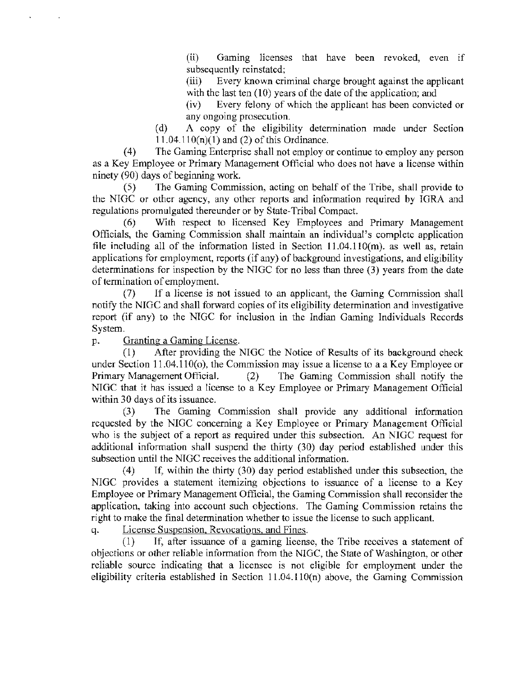(ii) Gaming licenses that have been revoked, even if subsequently reinstated;

(iii) Every known criminal charge brought against the applicant with the last ten (10) years of the date of the application; and

(iv) Every felony of which the applicant has been convicted or any ongoing prosecution.

(d) A copy of the eligibility determination made under Section  $11.04.110(n)(1)$  and (2) of this Ordinance.

(4) The Gaming Enterprise shall not employ or continue to employ any person as a Key Employee or Primary Management Official who does not have a license within ninety (90) days of beginning work.

(5) The Gaming Conunission, acting on behalf of the Tribe, shall provide to the NIGC or other agency, any other reports and information required by IGRA and regulations promulgated thereunder or by State-Tribal Compact.

(6) With respect to licensed Key Employees and Primary Management Officials, the Gaming Commission shall maintain an individual's complete application file including all of the information listed in Section  $11.04.110(m)$ . as well as, retain applications for employment, reports (if any) of background investigations, and eligibility determinations for inspection by the NJGC for no less than three (3) years from the date of termination of employment.

(7) If a license is not issued to an applicant, the Gaming Commission shall notify the NIGC and shall forward copies of its eligibility determination and investigative report (if any) to the NIGC for inclusion in the Indian Gaming Individuals Records System.

p. Granting a Gaming License.

(1) After providing the NIGC the Notice of Results of its background check under Section  $11.04.110(c)$ , the Commission may issue a license to a a Key Employee or Primary Management Official. (2) The Gaming Commission shall notify the NIGC that it has issued a license to a Key Employee or Primary Management Official within 30 days of its issuance.

(3) The Gaming Commission shall provide any additional information requested by the NIGC concerning a Key Employee or Primary Management Official who is the subject of a report as required under this subsection. An NIGC request for additional information shall suspend the thirty (30) day period established under this subsection until the NIGC receives the additional information.

(4) If, within the thirty (30) day period established under this subsection, the NIGC provides a statement itemizing objections to issuance of a license to a Key Employee or Primary Management Official, the Gaming Commission shall reconsider the application, taking into account such objections. The Gaming Commission retains the right to make the final determination whether to issue the license to such applicant.

q. License Suspension, Revocations, and Fines.

(1) If, after issuance of a gaming license, the Tribe receives a statement of objections or other reliable information from the NIGC. the State of Washington, or other reliable source indicating that a licensee is not eligible for employment under the eligibility criteria established in Section  $11.04.110(n)$  above, the Gaming Commission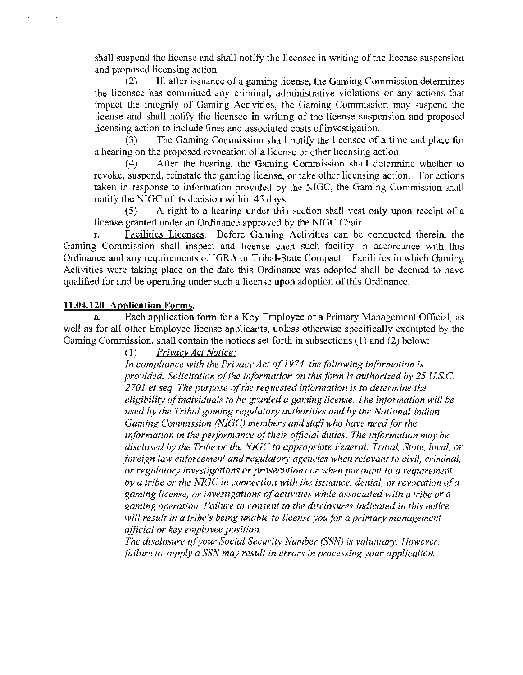shall suspend the license and shall notify the licensee in writing of the license suspension and proposed licensing action.

(2) If, after issuance of a gaming license, the Gaming Commission determines the licensee has committed any criminal, administrative violations or any actions that impact the integrity of Gaming Activities, the Gaming Commission may suspend the license and shall notify the licensee in writing of the license suspension and proposed licensing action to include fines and associated costs of investigation.

The Gaming Commission shall notify the licensee of a time and place for a hearing on the proposed revocation of a license or other licensing action.

(4) After the hearing, the Gaming Commission shall determine whether to revoke, suspend, reinstate the gaming license, or take other licensing action. For actions taken in response to information provided by the NIGC, the Gaming Commission shall notify the NIGC of its decision within 45 days.

(5) A right to a hearing under this section shall vest only upon receipt of a license granted under an Ordinance approved by the NIGC Chair.

r. Facilities Licenses. Before Gaming Activities can be conducted therein, the Gaming Commission shall inspect and license each such facility in accordance with this Ordinance and any requirements of IGRA or Tribal-State Compact. Facilities in which Gaming Activities were taking place on the date this Ordinance was adopted shall be deemed to have qualified for and be operating under such a license upon adoption of this Ordinance.

### **11.04.120 Application Forms.**

a. Each application form for a Key Employee or a Primary Management Official, as well as for all other Employee license applicants, unless otherwise specifically exempted by the Gaming Commission, shall contain the notices set forth in subsections (1) and (2) below:

(1) *Privacy Act Notice:* 

*Jn compliance with the Privacy Act of 1974, the following information is provided: Solicitation of the information on this.form is authorized by 25 US.C.*  2701 et seq. The purpose of the requested information is to determine the *eligibility of individuals to be granted a gaming license. The information will be used by the Tribal gaming regulatory authorities and by the National Indian Gaming Commission (NIGC) members and staff who have need.for the information in the performance of their official duties. The information may be disclosed by the Tribe or the NIGC to appropriate Federal, Tribal, State, local, or foreign law enforcement and regulatory agencies when relevant to civil, criminal, or regulatory investigations or prosecutions or when pursuant to a requirement by a tribe or the NIGC in connection with the issuance, denial, or revocation of a*  gaming license, or investigations of activities while associated with a tribe or a *gaming operation. Failure to consent to the disclosures indicated in this notice*  will result in a tribe's being unable to license you for a primary management *official or key employee position.* 

*The disclosure of your Social Security Number (SSN) is voluntary. However, failure to supply a SSN may result in errors in processing your application.*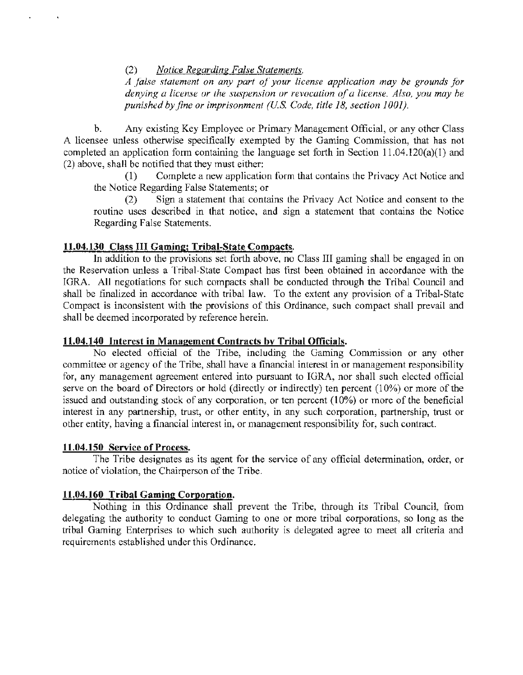(2) *Notice Regarding False Statements.* 

*A .false statement on any part of your license application may be grounds for denying a license or the suspension or revocation of a license. Also, you may he punished by fine or imprisonment (U.S. Code, title 18, section 1001).* 

b. Any existing Key Employee or Primary Management Official, or any other Class A licensee unless otherwise specifically exempted by the Gaming Commission, that has not completed an application form containing the language set forth in Section 1l.04.l20(a)(l) and (2) above, shall be notified that they must either:

(1) Complete a new application form that contains the Privacy Act Notice and the Notice Regarding False Statements; or

(2) Sign a statement that contains the Privacy Act Notice and consent to the routine uses described in that notice, and sign a statement that contains the Notice Regarding False Statements.

### 11.04.130 Class III Gaming; Tribal-State Compacts.

In addition to the provisions set forth above, no Class III gaming shall be engaged in on the Reservation unless a Tribal-State Compact has first been obtained in accordance with the IGRA. All negotiations for such compacts shall be conducted through the Tribal Council and shall be finalized in accordance with tribal law. To the extent any provision of a Tribal-State Compact is inconsistent with the provisions of this Ordinance, such compact shall prevail and shall be deemed incorporated by reference herein.

### 11.04.140 Interest in Management Contracts by Tribal Officials.

No elected official of the Tribe, including the Gaming Commission or any other committee or agency of the Tribe, shall have a financial interest in or management responsibility for, any management agreement entered into pursuant to IGRA, nor shall such elected official serve on the board of Directors or hold (directly or indirectly) ten percent (10%) or more of the issued and outstanding stock of any corporation, or ten percent (10%) or more of the beneficial interest in any partnership, trust, or other entity, in any such corporation, partnership, trust or other entity, having a financial interest in, or management responsibility for, such contract.

# 11.04.150 Service of Process.

The Tribe designates as its agent for the service of any official determination, order, or notice of violation, the Chairperson of the Tribe.

# 11.04.160 Tribal Gaming Corporation.

Nothing in this Ordinance shall prevent the Tribe, through its Tribal Council, from delegating the authority to conduct Gaming to one or more tribal corporations, so long as the tribal Gaming Enterprises to which such authority is delegated agree to meet all criteria and requirements established under this Ordinance.